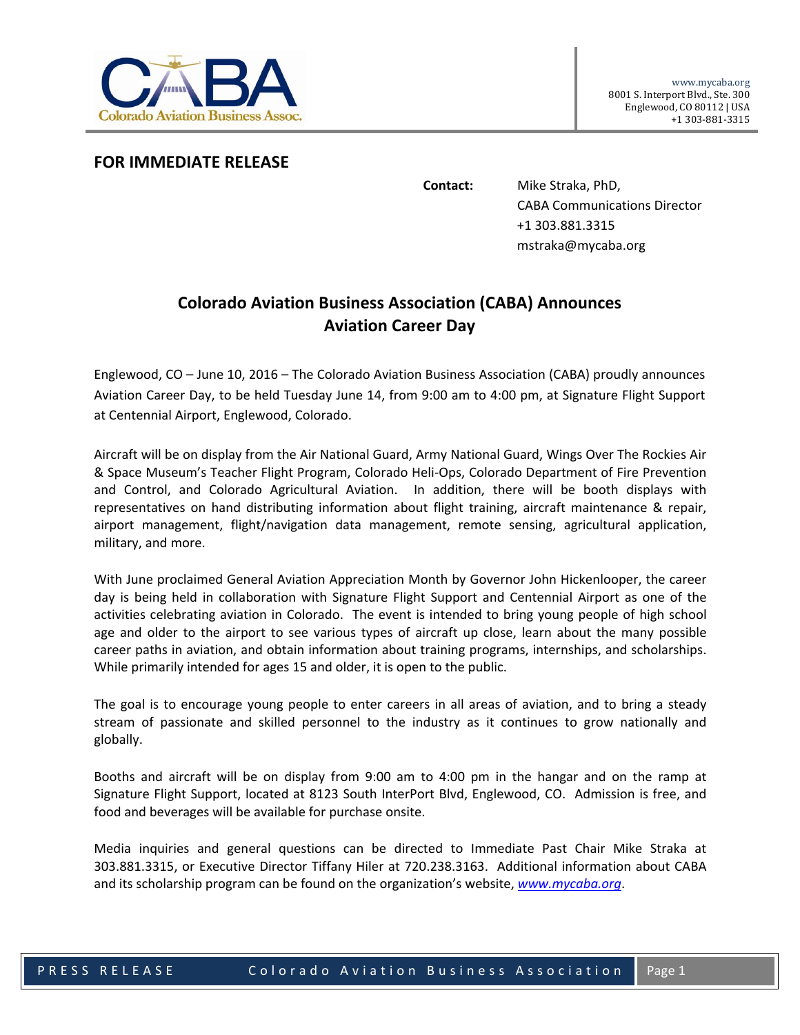

**FOR IMMEDIATE RELEASE**

**Contact:** Mike Straka, PhD, CABA Communications Director +1 303.881.3315 mstraka@mycaba.org

## **Colorado Aviation Business Association (CABA) Announces Aviation Career Day**

Englewood, CO – June 10, 2016 – The Colorado Aviation Business Association (CABA) proudly announces Aviation Career Day, to be held Tuesday June 14, from 9:00 am to 4:00 pm, at Signature Flight Support at Centennial Airport, Englewood, Colorado.

Aircraft will be on display from the Air National Guard, Army National Guard, Wings Over The Rockies Air & Space Museum's Teacher Flight Program, Colorado Heli‐Ops, Colorado Department of Fire Prevention and Control, and Colorado Agricultural Aviation. In addition, there will be booth displays with representatives on hand distributing information about flight training, aircraft maintenance & repair, airport management, flight/navigation data management, remote sensing, agricultural application, military, and more.

With June proclaimed General Aviation Appreciation Month by Governor John Hickenlooper, the career day is being held in collaboration with Signature Flight Support and Centennial Airport as one of the activities celebrating aviation in Colorado. The event is intended to bring young people of high school age and older to the airport to see various types of aircraft up close, learn about the many possible career paths in aviation, and obtain information about training programs, internships, and scholarships. While primarily intended for ages 15 and older, it is open to the public.

The goal is to encourage young people to enter careers in all areas of aviation, and to bring a steady stream of passionate and skilled personnel to the industry as it continues to grow nationally and globally.

Booths and aircraft will be on display from 9:00 am to 4:00 pm in the hangar and on the ramp at Signature Flight Support, located at 8123 South InterPort Blvd, Englewood, CO. Admission is free, and food and beverages will be available for purchase onsite.

Media inquiries and general questions can be directed to Immediate Past Chair Mike Straka at 303.881.3315, or Executive Director Tiffany Hiler at 720.238.3163. Additional information about CABA and its scholarship program can be found on the organization's website, *www.mycaba.org*.